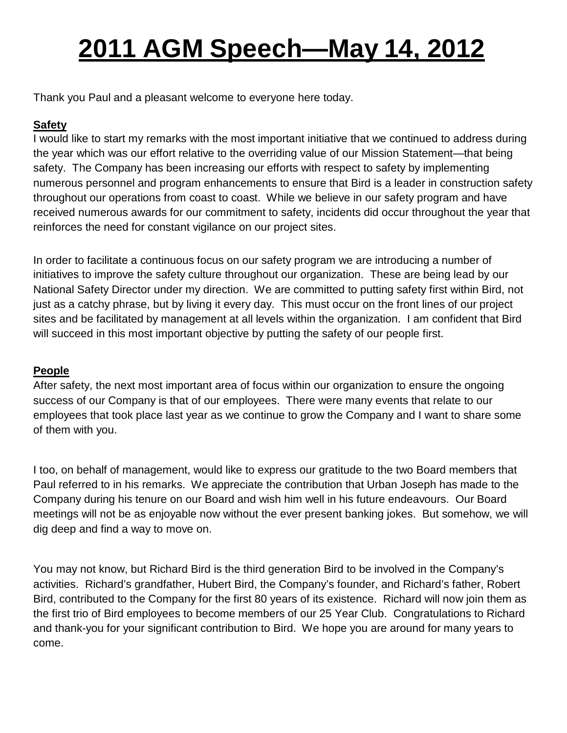# **2011 AGM Speech—May 14, 2012**

Thank you Paul and a pleasant welcome to everyone here today.

## **Safety**

I would like to start my remarks with the most important initiative that we continued to address during the year which was our effort relative to the overriding value of our Mission Statement—that being safety. The Company has been increasing our efforts with respect to safety by implementing numerous personnel and program enhancements to ensure that Bird is a leader in construction safety throughout our operations from coast to coast. While we believe in our safety program and have received numerous awards for our commitment to safety, incidents did occur throughout the year that reinforces the need for constant vigilance on our project sites.

In order to facilitate a continuous focus on our safety program we are introducing a number of initiatives to improve the safety culture throughout our organization. These are being lead by our National Safety Director under my direction. We are committed to putting safety first within Bird, not just as a catchy phrase, but by living it every day. This must occur on the front lines of our project sites and be facilitated by management at all levels within the organization. I am confident that Bird will succeed in this most important objective by putting the safety of our people first.

### **People**

After safety, the next most important area of focus within our organization to ensure the ongoing success of our Company is that of our employees. There were many events that relate to our employees that took place last year as we continue to grow the Company and I want to share some of them with you.

I too, on behalf of management, would like to express our gratitude to the two Board members that Paul referred to in his remarks. We appreciate the contribution that Urban Joseph has made to the Company during his tenure on our Board and wish him well in his future endeavours. Our Board meetings will not be as enjoyable now without the ever present banking jokes. But somehow, we will dig deep and find a way to move on.

You may not know, but Richard Bird is the third generation Bird to be involved in the Company's activities. Richard's grandfather, Hubert Bird, the Company's founder, and Richard's father, Robert Bird, contributed to the Company for the first 80 years of its existence. Richard will now join them as the first trio of Bird employees to become members of our 25 Year Club. Congratulations to Richard and thank-you for your significant contribution to Bird. We hope you are around for many years to come.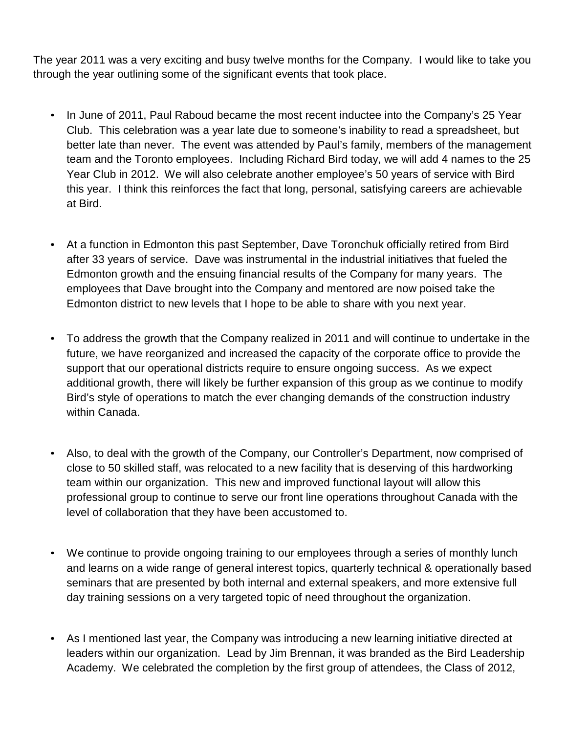The year 2011 was a very exciting and busy twelve months for the Company. I would like to take you through the year outlining some of the significant events that took place.

- In June of 2011, Paul Raboud became the most recent inductee into the Company's 25 Year Club. This celebration was a year late due to someone's inability to read a spreadsheet, but better late than never. The event was attended by Paul's family, members of the management team and the Toronto employees. Including Richard Bird today, we will add 4 names to the 25 Year Club in 2012. We will also celebrate another employee's 50 years of service with Bird this year. I think this reinforces the fact that long, personal, satisfying careers are achievable at Bird.
- At a function in Edmonton this past September, Dave Toronchuk officially retired from Bird after 33 years of service. Dave was instrumental in the industrial initiatives that fueled the Edmonton growth and the ensuing financial results of the Company for many years. The employees that Dave brought into the Company and mentored are now poised take the Edmonton district to new levels that I hope to be able to share with you next year.
- To address the growth that the Company realized in 2011 and will continue to undertake in the future, we have reorganized and increased the capacity of the corporate office to provide the support that our operational districts require to ensure ongoing success. As we expect additional growth, there will likely be further expansion of this group as we continue to modify Bird's style of operations to match the ever changing demands of the construction industry within Canada.
- Also, to deal with the growth of the Company, our Controller's Department, now comprised of close to 50 skilled staff, was relocated to a new facility that is deserving of this hardworking team within our organization. This new and improved functional layout will allow this professional group to continue to serve our front line operations throughout Canada with the level of collaboration that they have been accustomed to.
- We continue to provide ongoing training to our employees through a series of monthly lunch and learns on a wide range of general interest topics, quarterly technical & operationally based seminars that are presented by both internal and external speakers, and more extensive full day training sessions on a very targeted topic of need throughout the organization.
- As I mentioned last year, the Company was introducing a new learning initiative directed at leaders within our organization. Lead by Jim Brennan, it was branded as the Bird Leadership Academy. We celebrated the completion by the first group of attendees, the Class of 2012,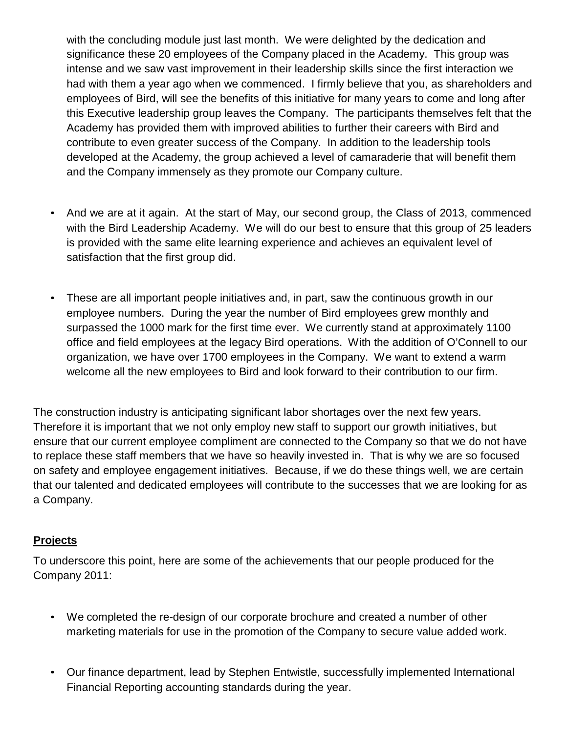with the concluding module just last month. We were delighted by the dedication and significance these 20 employees of the Company placed in the Academy. This group was intense and we saw vast improvement in their leadership skills since the first interaction we had with them a year ago when we commenced. I firmly believe that you, as shareholders and employees of Bird, will see the benefits of this initiative for many years to come and long after this Executive leadership group leaves the Company. The participants themselves felt that the Academy has provided them with improved abilities to further their careers with Bird and contribute to even greater success of the Company. In addition to the leadership tools developed at the Academy, the group achieved a level of camaraderie that will benefit them and the Company immensely as they promote our Company culture.

- And we are at it again. At the start of May, our second group, the Class of 2013, commenced with the Bird Leadership Academy. We will do our best to ensure that this group of 25 leaders is provided with the same elite learning experience and achieves an equivalent level of satisfaction that the first group did.
- These are all important people initiatives and, in part, saw the continuous growth in our employee numbers. During the year the number of Bird employees grew monthly and surpassed the 1000 mark for the first time ever. We currently stand at approximately 1100 office and field employees at the legacy Bird operations. With the addition of O'Connell to our organization, we have over 1700 employees in the Company. We want to extend a warm welcome all the new employees to Bird and look forward to their contribution to our firm.

The construction industry is anticipating significant labor shortages over the next few years. Therefore it is important that we not only employ new staff to support our growth initiatives, but ensure that our current employee compliment are connected to the Company so that we do not have to replace these staff members that we have so heavily invested in. That is why we are so focused on safety and employee engagement initiatives. Because, if we do these things well, we are certain that our talented and dedicated employees will contribute to the successes that we are looking for as a Company.

#### **Projects**

To underscore this point, here are some of the achievements that our people produced for the Company 2011:

- We completed the re-design of our corporate brochure and created a number of other marketing materials for use in the promotion of the Company to secure value added work.
- Our finance department, lead by Stephen Entwistle, successfully implemented International Financial Reporting accounting standards during the year.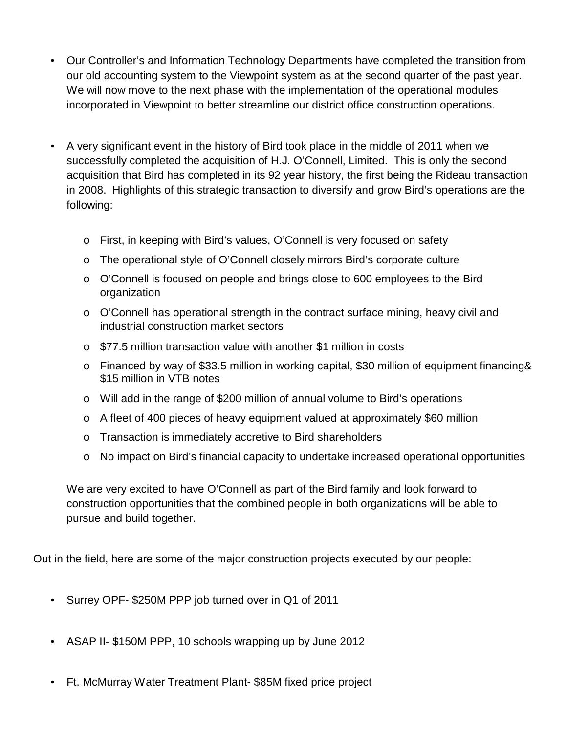- Our Controller's and Information Technology Departments have completed the transition from our old accounting system to the Viewpoint system as at the second quarter of the past year. We will now move to the next phase with the implementation of the operational modules incorporated in Viewpoint to better streamline our district office construction operations.
- A very significant event in the history of Bird took place in the middle of 2011 when we successfully completed the acquisition of H.J. O'Connell, Limited. This is only the second acquisition that Bird has completed in its 92 year history, the first being the Rideau transaction in 2008. Highlights of this strategic transaction to diversify and grow Bird's operations are the following:
	- o First, in keeping with Bird's values, O'Connell is very focused on safety
	- o The operational style of O'Connell closely mirrors Bird's corporate culture
	- o O'Connell is focused on people and brings close to 600 employees to the Bird organization
	- o O'Connell has operational strength in the contract surface mining, heavy civil and industrial construction market sectors
	- o \$77.5 million transaction value with another \$1 million in costs
	- o Financed by way of \$33.5 million in working capital, \$30 million of equipment financing& \$15 million in VTB notes
	- o Will add in the range of \$200 million of annual volume to Bird's operations
	- o A fleet of 400 pieces of heavy equipment valued at approximately \$60 million
	- o Transaction is immediately accretive to Bird shareholders
	- o No impact on Bird's financial capacity to undertake increased operational opportunities

We are very excited to have O'Connell as part of the Bird family and look forward to construction opportunities that the combined people in both organizations will be able to pursue and build together.

Out in the field, here are some of the major construction projects executed by our people:

- Surrey OPF- \$250M PPP job turned over in Q1 of 2011
- ASAP II- \$150M PPP, 10 schools wrapping up by June 2012
- Ft. McMurray Water Treatment Plant- \$85M fixed price project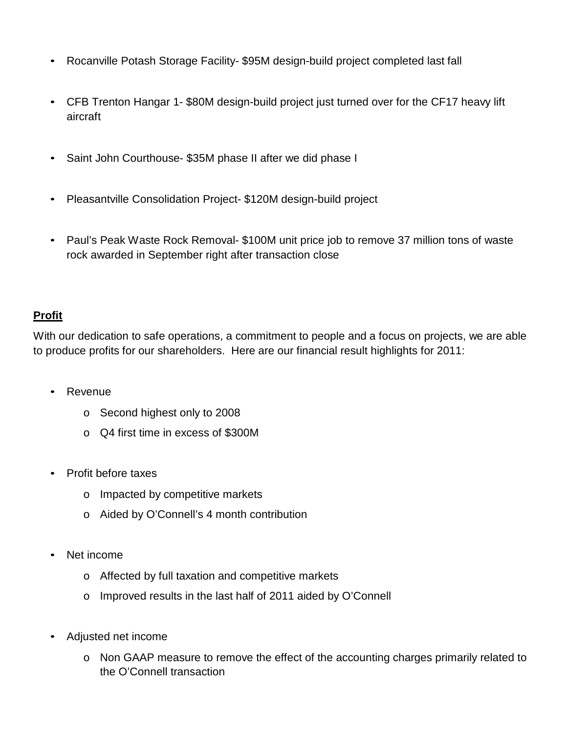- Rocanville Potash Storage Facility- \$95M design-build project completed last fall
- CFB Trenton Hangar 1- \$80M design-build project just turned over for the CF17 heavy lift aircraft
- Saint John Courthouse- \$35M phase II after we did phase I
- Pleasantville Consolidation Project- \$120M design-build project
- Paul's Peak Waste Rock Removal- \$100M unit price job to remove 37 million tons of waste rock awarded in September right after transaction close

#### **Profit**

With our dedication to safe operations, a commitment to people and a focus on projects, we are able to produce profits for our shareholders. Here are our financial result highlights for 2011:

- **Revenue** 
	- o Second highest only to 2008
	- o Q4 first time in excess of \$300M
- Profit before taxes
	- o Impacted by competitive markets
	- o Aided by O'Connell's 4 month contribution
- Net income
	- o Affected by full taxation and competitive markets
	- o Improved results in the last half of 2011 aided by O'Connell
- Adjusted net income
	- o Non GAAP measure to remove the effect of the accounting charges primarily related to the O'Connell transaction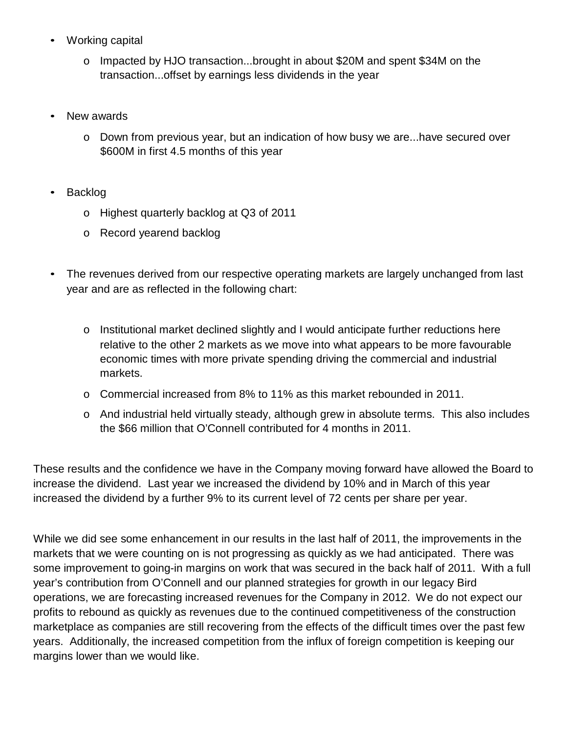- Working capital
	- o Impacted by HJO transaction...brought in about \$20M and spent \$34M on the transaction...offset by earnings less dividends in the year
- New awards
	- o Down from previous year, but an indication of how busy we are...have secured over \$600M in first 4.5 months of this year
- Backlog
	- o Highest quarterly backlog at Q3 of 2011
	- o Record yearend backlog
- The revenues derived from our respective operating markets are largely unchanged from last year and are as reflected in the following chart:
	- $\circ$  Institutional market declined slightly and I would anticipate further reductions here relative to the other 2 markets as we move into what appears to be more favourable economic times with more private spending driving the commercial and industrial markets.
	- o Commercial increased from 8% to 11% as this market rebounded in 2011.
	- o And industrial held virtually steady, although grew in absolute terms. This also includes the \$66 million that O'Connell contributed for 4 months in 2011.

These results and the confidence we have in the Company moving forward have allowed the Board to increase the dividend. Last year we increased the dividend by 10% and in March of this year increased the dividend by a further 9% to its current level of 72 cents per share per year.

While we did see some enhancement in our results in the last half of 2011, the improvements in the markets that we were counting on is not progressing as quickly as we had anticipated. There was some improvement to going-in margins on work that was secured in the back half of 2011. With a full year's contribution from O'Connell and our planned strategies for growth in our legacy Bird operations, we are forecasting increased revenues for the Company in 2012. We do not expect our profits to rebound as quickly as revenues due to the continued competitiveness of the construction marketplace as companies are still recovering from the effects of the difficult times over the past few years. Additionally, the increased competition from the influx of foreign competition is keeping our margins lower than we would like.